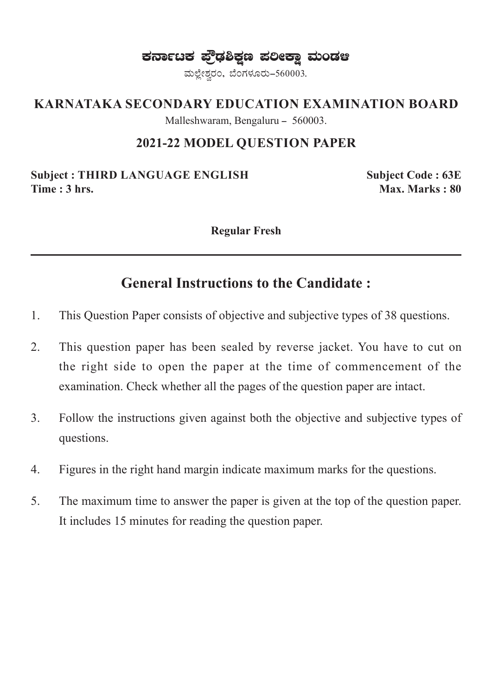ಕರ್ನಾಟಕ ಫ್ರೌಢಶಿಕ್ಷಣ ಪಲೀಕ್ಷಾ ಮಂಡಆ

ಮಲ್ಲೇಶ್ವರಂ, ಬೆಂಗಳೂರು-560003.

#### **KARNATAKA SECONDARY EDUCATION EXAMINATION BOARD**

Malleshwaram, Bengaluru - 560003.

#### **2021-22 MODEL QUESTION PAPER**

**Subject : THIRD LANGUAGE ENGLISH Subject Code : 63E Time : 3 hrs.** Max. Marks : 80

**Regular Fresh**

### **General Instructions to the Candidate :**

- 1. This Question Paper consists of objective and subjective types of 38 questions.
- 2. This question paper has been sealed by reverse jacket. You have to cut on the right side to open the paper at the time of commencement of the examination. Check whether all the pages of the question paper are intact.
- 3. Follow the instructions given against both the objective and subjective types of questions.
- 4. Figures in the right hand margin indicate maximum marks for the questions.
- 5. The maximum time to answer the paper is given at the top of the question paper. It includes 15 minutes for reading the question paper.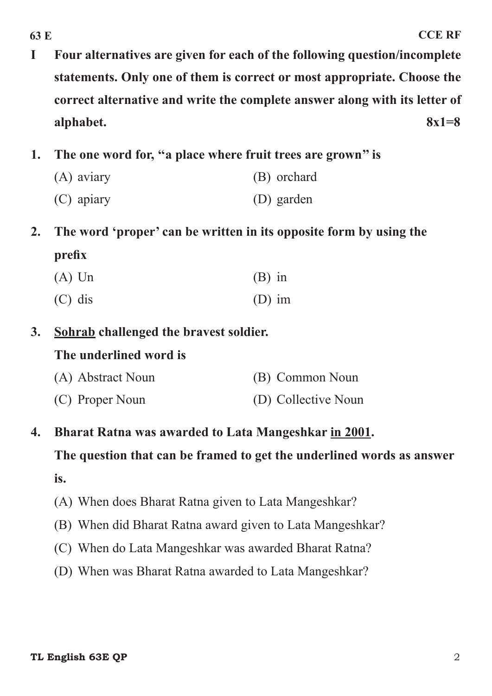- **I Four alternatives are given for each of the following question/incomplete statements. Only one of them is correct or most appropriate. Choose the correct alternative and write the complete answer along with its letter of alphabet. 8x1=8**
- **1. The one word for, ''a place where fruit trees are grown'' is**
	- (A) aviary (B) orchard
	- (C) apiary (D) garden
- **2. The word 'proper' can be written in its opposite form by using the prefix**
	- $(A)$  Un  $(B)$  in (C) dis (D) im
- **3. Sohrab challenged the bravest soldier.**

#### **The underlined word is**

| (A) Abstract Noun | (B) Common Noun     |
|-------------------|---------------------|
| (C) Proper Noun   | (D) Collective Noun |

**4. Bharat Ratna was awarded to Lata Mangeshkar in 2001.**

**The question that can be framed to get the underlined words as answer is.**

- (A) When does Bharat Ratna given to Lata Mangeshkar?
- (B) When did Bharat Ratna award given to Lata Mangeshkar?
- (C) When do Lata Mangeshkar was awarded Bharat Ratna?
- (D) When was Bharat Ratna awarded to Lata Mangeshkar?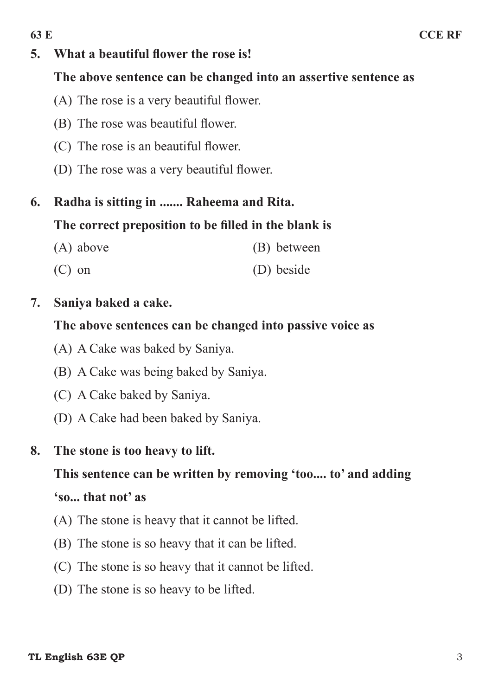#### **5. What a beautiful flower the rose is!**

#### **The above sentence can be changed into an assertive sentence as**

- (A) The rose is a very beautiful flower.
- (B) The rose was beautiful flower.
- (C) The rose is an beautiful flower.
- (D) The rose was a very beautiful flower.

### **6. Radha is sitting in ....... Raheema and Rita.**

#### **The correct preposition to be filled in the blank is**

- (A) above (B) between
- (C) on (D) beside

#### **7. Saniya baked a cake.**

#### **The above sentences can be changed into passive voice as**

- (A) A Cake was baked by Saniya.
- (B) A Cake was being baked by Saniya.
- (C) A Cake baked by Saniya.
- (D) A Cake had been baked by Saniya.

#### **8. The stone is too heavy to lift.**

# **This sentence can be written by removing 'too.... to' and adding**

#### **'so... that not' as**

- (A) The stone is heavy that it cannot be lifted.
- (B) The stone is so heavy that it can be lifted.
- (C) The stone is so heavy that it cannot be lifted.
- (D) The stone is so heavy to be lifted.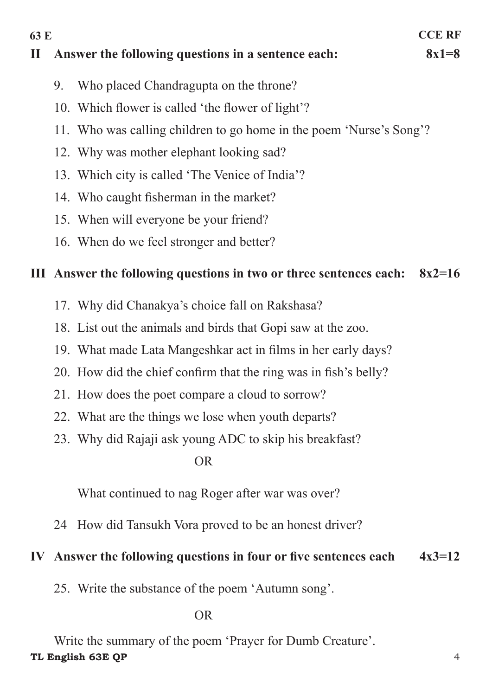**63 E CCE RF II Answer the following questions in a sentence each: 8x1=8** 9. Who placed Chandragupta on the throne? 10. Which flower is called 'the flower of light'? 11. Who was calling children to go home in the poem 'Nurse's Song'? 12. Why was mother elephant looking sad? 13. Which city is called 'The Venice of India'? 14. Who caught fisherman in the market? 15. When will everyone be your friend? 16. When do we feel stronger and better?

#### **III Answer the following questions in two or three sentences each: 8x2=16**

- 17. Why did Chanakya's choice fall on Rakshasa?
- 18. List out the animals and birds that Gopi saw at the zoo.
- 19. What made Lata Mangeshkar act in films in her early days?
- 20. How did the chief confirm that the ring was in fish's belly?
- 21. How does the poet compare a cloud to sorrow?
- 22. What are the things we lose when youth departs?
- 23. Why did Rajaji ask young ADC to skip his breakfast?

#### OR

What continued to nag Roger after war was over?

24 How did Tansukh Vora proved to be an honest driver?

#### **IV Answer the following questions in four or five sentences each 4x3=12**

25. Write the substance of the poem 'Autumn song'.

#### OR

**TL English 63E QP** 4 Write the summary of the poem 'Prayer for Dumb Creature'.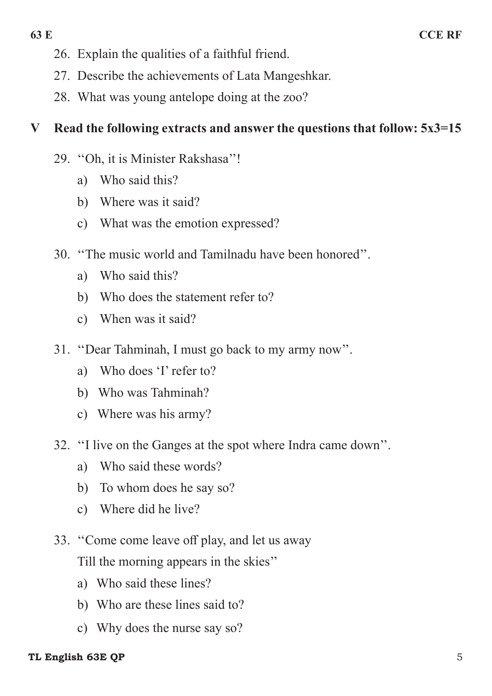- 26. Explain the qualities of a faithful friend.
- 27. Describe the achievements of Lata Mangeshkar.
- 28. What was young antelope doing at the zoo?

### **V Read the following extracts and answer the questions that follow: 5x3=15**

- 29. "Oh, it is Minister Rakshasa"!
	- a) Who said this?
	- b) Where was it said?
	- c) What was the emotion expressed?
- 30. ''The music world and Tamilnadu have been honored''.
	- a) Who said this?
	- b) Who does the statement refer to?
	- c) When was it said?
- 31. "Dear Tahminah, I must go back to my army now".
	- a) Who does 'I' refer to?
	- b) Who was Tahminah?
	- c) Where was his army?
- 32. "I live on the Ganges at the spot where Indra came down".
	- a) Who said these words?
	- b) To whom does he say so?
	- c) Where did he live?
- 33. "Come come leave off play, and let us away Till the morning appears in the skies''
	- a) Who said these lines?
	- b) Who are these lines said to?
	- c) Why does the nurse say so?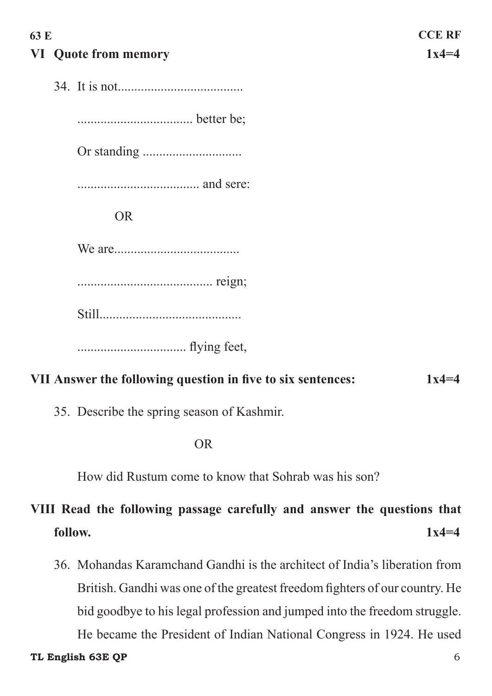### **63 E CCE RF VI Quote from memory 1x4=4**

34. It is not......................................

................................... better be;

Or standing ..............................

..................................... and sere:

OR

We are......................................

......................................... reign;

Still...........................................

 ................................. flying feet,

#### **VII Answer the following question in five to six sentences: 1x4=4**

35. Describe the spring season of Kashmir.

OR

How did Rustum come to know that Sohrab was his son?

## **VIII Read the following passage carefully and answer the questions that follow. 1x4=4**

36. Mohandas Karamchand Gandhi is the architect of India's liberation from British. Gandhi was one of the greatest freedom fighters of our country. He bid goodbye to his legal profession and jumped into the freedom struggle. He became the President of Indian National Congress in 1924. He used